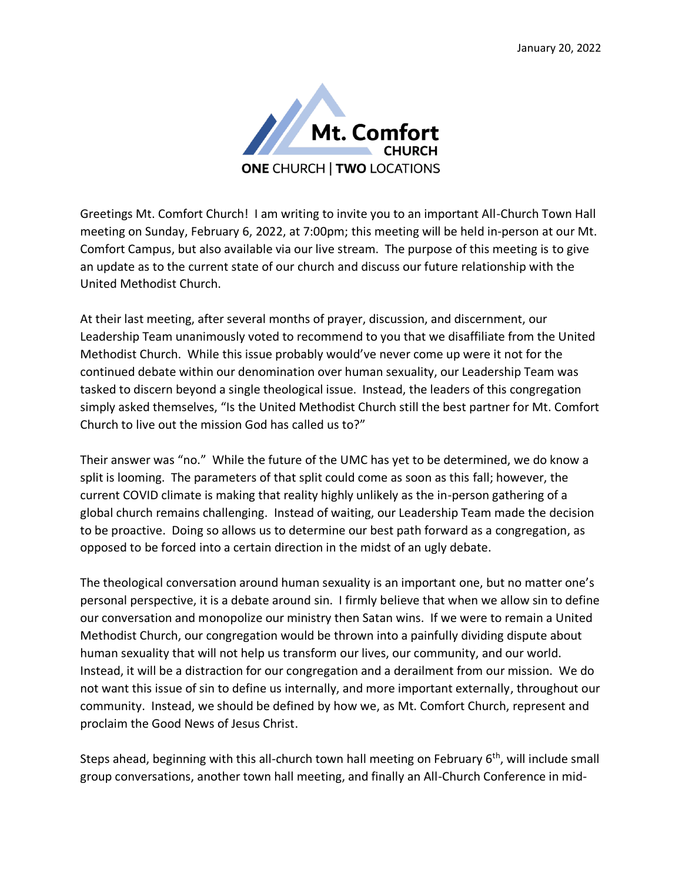

Greetings Mt. Comfort Church! I am writing to invite you to an important All-Church Town Hall meeting on Sunday, February 6, 2022, at 7:00pm; this meeting will be held in-person at our Mt. Comfort Campus, but also available via our live stream. The purpose of this meeting is to give an update as to the current state of our church and discuss our future relationship with the United Methodist Church.

At their last meeting, after several months of prayer, discussion, and discernment, our Leadership Team unanimously voted to recommend to you that we disaffiliate from the United Methodist Church. While this issue probably would've never come up were it not for the continued debate within our denomination over human sexuality, our Leadership Team was tasked to discern beyond a single theological issue. Instead, the leaders of this congregation simply asked themselves, "Is the United Methodist Church still the best partner for Mt. Comfort Church to live out the mission God has called us to?"

Their answer was "no." While the future of the UMC has yet to be determined, we do know a split is looming. The parameters of that split could come as soon as this fall; however, the current COVID climate is making that reality highly unlikely as the in-person gathering of a global church remains challenging. Instead of waiting, our Leadership Team made the decision to be proactive. Doing so allows us to determine our best path forward as a congregation, as opposed to be forced into a certain direction in the midst of an ugly debate.

The theological conversation around human sexuality is an important one, but no matter one's personal perspective, it is a debate around sin. I firmly believe that when we allow sin to define our conversation and monopolize our ministry then Satan wins. If we were to remain a United Methodist Church, our congregation would be thrown into a painfully dividing dispute about human sexuality that will not help us transform our lives, our community, and our world. Instead, it will be a distraction for our congregation and a derailment from our mission. We do not want this issue of sin to define us internally, and more important externally, throughout our community. Instead, we should be defined by how we, as Mt. Comfort Church, represent and proclaim the Good News of Jesus Christ.

Steps ahead, beginning with this all-church town hall meeting on February  $6<sup>th</sup>$ , will include small group conversations, another town hall meeting, and finally an All-Church Conference in mid